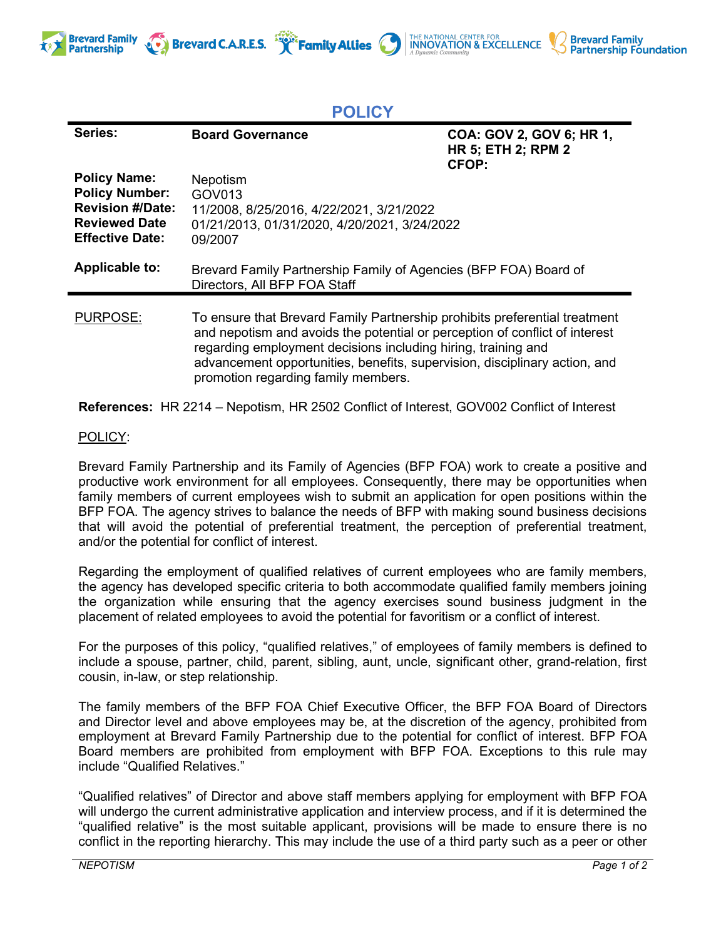



THE NATIONAL CENTER FOR **INNOVATION & EXCELLENCE** 

**Brevard Family** 

**Partnership Foundation** 

**References:** HR 2214 – Nepotism, HR 2502 Conflict of Interest, GOV002 Conflict of Interest

## POLICY:

Brevard Family Partnership and its Family of Agencies (BFP FOA) work to create a positive and productive work environment for all employees. Consequently, there may be opportunities when family members of current employees wish to submit an application for open positions within the BFP FOA. The agency strives to balance the needs of BFP with making sound business decisions that will avoid the potential of preferential treatment, the perception of preferential treatment, and/or the potential for conflict of interest.

Regarding the employment of qualified relatives of current employees who are family members, the agency has developed specific criteria to both accommodate qualified family members joining the organization while ensuring that the agency exercises sound business judgment in the placement of related employees to avoid the potential for favoritism or a conflict of interest.

For the purposes of this policy, "qualified relatives," of employees of family members is defined to include a spouse, partner, child, parent, sibling, aunt, uncle, significant other, grand-relation, first cousin, in-law, or step relationship.

The family members of the BFP FOA Chief Executive Officer, the BFP FOA Board of Directors and Director level and above employees may be, at the discretion of the agency, prohibited from employment at Brevard Family Partnership due to the potential for conflict of interest. BFP FOA Board members are prohibited from employment with BFP FOA. Exceptions to this rule may include "Qualified Relatives."

"Qualified relatives" of Director and above staff members applying for employment with BFP FOA will undergo the current administrative application and interview process, and if it is determined the "qualified relative" is the most suitable applicant, provisions will be made to ensure there is no conflict in the reporting hierarchy. This may include the use of a third party such as a peer or other